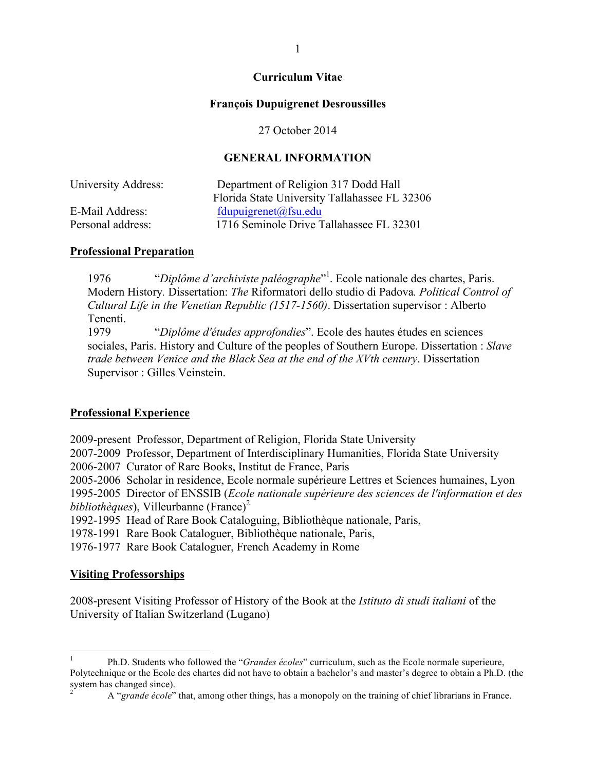#### **Curriculum Vitae**

#### **François Dupuigrenet Desroussilles**

27 October 2014

### **GENERAL INFORMATION**

| University Address: | Department of Religion 317 Dodd Hall<br>Florida State University Tallahassee FL 32306 |
|---------------------|---------------------------------------------------------------------------------------|
| E-Mail Address:     | fdupuigrenet@fsu.edu                                                                  |
| Personal address:   | 1716 Seminole Drive Tallahassee FL 32301                                              |
|                     |                                                                                       |

#### **Professional Preparation**

1976 "*Diplôme d'archiviste paléographe*" 1 . Ecole nationale des chartes, Paris. Modern History*.* Dissertation: *The* Riformatori dello studio di Padova*. Political Control of Cultural Life in the Venetian Republic (1517-1560)*. Dissertation supervisor : Alberto Tenenti.

1979 "*Diplôme d'études approfondies*". Ecole des hautes études en sciences sociales, Paris. History and Culture of the peoples of Southern Europe. Dissertation : *Slave trade between Venice and the Black Sea at the end of the XVth century*. Dissertation Supervisor : Gilles Veinstein.

#### **Professional Experience**

2009-present Professor, Department of Religion, Florida State University 2007-2009 Professor, Department of Interdisciplinary Humanities, Florida State University 2006-2007 Curator of Rare Books, Institut de France, Paris 2005-2006 Scholar in residence, Ecole normale supérieure Lettres et Sciences humaines, Lyon 1995-2005 Director of ENSSIB (*Ecole nationale supérieure des sciences de l'information et des bibliothèques*), Villeurbanne (France)<sup>2</sup> 1992-1995 Head of Rare Book Cataloguing, Bibliothèque nationale, Paris, 1978-1991 Rare Book Cataloguer, Bibliothèque nationale, Paris,

1976-1977 Rare Book Cataloguer, French Academy in Rome

#### **Visiting Professorships**

2008-present Visiting Professor of History of the Book at the *Istituto di studi italiani* of the University of Italian Switzerland (Lugano)

 <sup>1</sup> Ph.D. Students who followed the "*Grandes écoles*" curriculum, such as the Ecole normale superieure, Polytechnique or the Ecole des chartes did not have to obtain a bachelor's and master's degree to obtain a Ph.D. (the system has changed since).<br><sup>2</sup> A "*grande école*" that, among other things, has a monopoly on the training of chief librarians in France.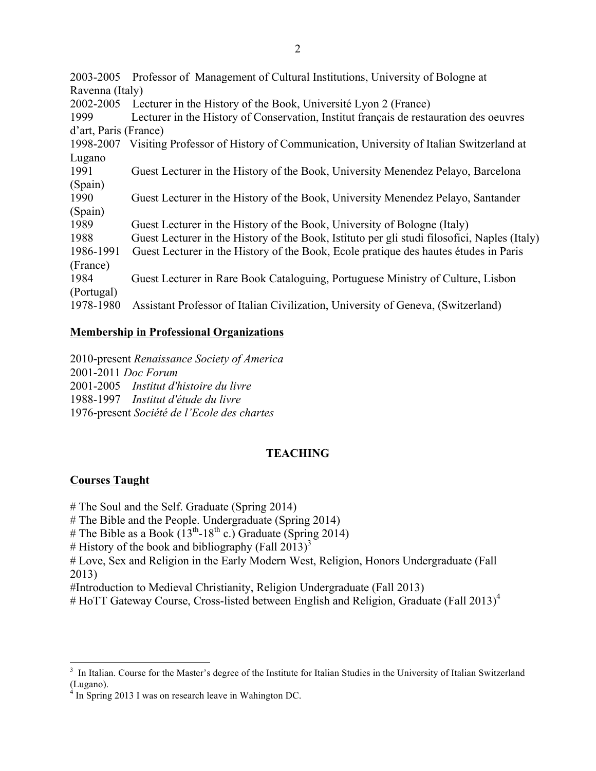2003-2005 Professor of Management of Cultural Institutions, University of Bologne at Ravenna (Italy) 2002-2005 Lecturer in the History of the Book, Université Lyon 2 (France) 1999 Lecturer in the History of Conservation, Institut français de restauration des oeuvres d'art, Paris (France) 1998-2007 Visiting Professor of History of Communication, University of Italian Switzerland at Lugano 1991 Guest Lecturer in the History of the Book, University Menendez Pelayo, Barcelona (Spain) 1990 Guest Lecturer in the History of the Book, University Menendez Pelayo, Santander (Spain) 1989 Guest Lecturer in the History of the Book, University of Bologne (Italy) 1988 Guest Lecturer in the History of the Book, Istituto per gli studi filosofici, Naples (Italy) 1986-1991 Guest Lecturer in the History of the Book, Ecole pratique des hautes études in Paris (France) 1984 Guest Lecturer in Rare Book Cataloguing, Portuguese Ministry of Culture, Lisbon (Portugal) 1978-1980 Assistant Professor of Italian Civilization, University of Geneva, (Switzerland)

#### **Membership in Professional Organizations**

2010-present *Renaissance Society of America* 2001-2011 *Doc Forum* 2001-2005 *Institut d'histoire du livre* 1988-1997 *Institut d'étude du livre* 1976-present *Société de l'Ecole des chartes*

## **TEACHING**

#### **Courses Taught**

# The Soul and the Self. Graduate (Spring 2014)

# The Bible and the People. Undergraduate (Spring 2014)

# The Bible as a Book  $(13<sup>th</sup>-18<sup>th</sup>$  c.) Graduate (Spring 2014)

# History of the book and bibliography (Fall 2013)<sup>3</sup>

# Love, Sex and Religion in the Early Modern West, Religion, Honors Undergraduate (Fall 2013)

#Introduction to Medieval Christianity, Religion Undergraduate (Fall 2013)

 $#$  HoTT Gateway Course, Cross-listed between English and Religion, Graduate (Fall 2013)<sup>4</sup>

<sup>3</sup>  $3$  In Italian. Course for the Master's degree of the Institute for Italian Studies in the University of Italian Switzerland (Lugano).

In Spring 2013 I was on research leave in Wahington DC.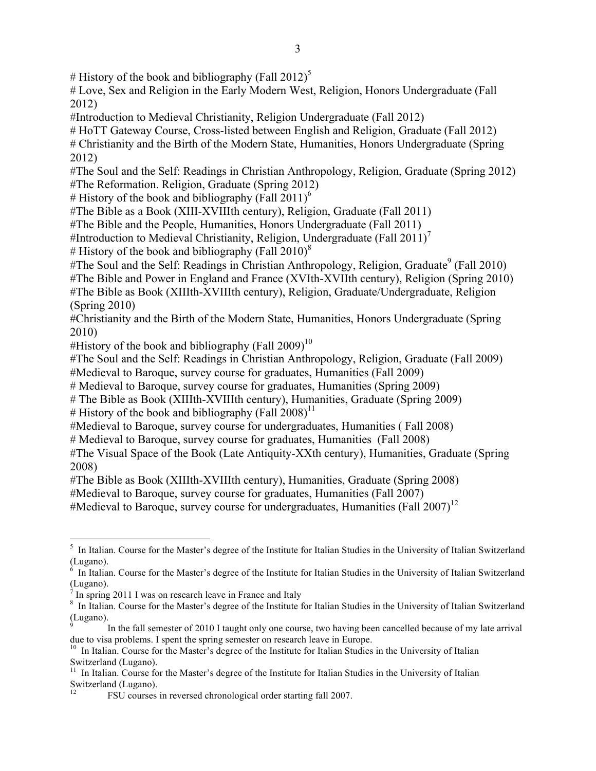# History of the book and bibliography (Fall 2012)<sup>5</sup>

# Love, Sex and Religion in the Early Modern West, Religion, Honors Undergraduate (Fall 2012)

#Introduction to Medieval Christianity, Religion Undergraduate (Fall 2012)

# HoTT Gateway Course, Cross-listed between English and Religion, Graduate (Fall 2012)

# Christianity and the Birth of the Modern State, Humanities, Honors Undergraduate (Spring 2012)

#The Soul and the Self: Readings in Christian Anthropology, Religion, Graduate (Spring 2012) #The Reformation. Religion, Graduate (Spring 2012)

# History of the book and bibliography (Fall  $2011$ )<sup>6</sup>

#The Bible as a Book (XIII-XVIIIth century), Religion, Graduate (Fall 2011)

#The Bible and the People, Humanities, Honors Undergraduate (Fall 2011)

#Introduction to Medieval Christianity, Religion, Undergraduate (Fall 2011)<sup>7</sup>

# History of the book and bibliography (Fall 2010)<sup>8</sup>

 $#$ The Soul and the Self: Readings in Christian Anthropology, Religion, Graduate<sup>9</sup> (Fall 2010)

#The Bible and Power in England and France (XVIth-XVIIth century), Religion (Spring 2010)

#The Bible as Book (XIIIth-XVIIIth century), Religion, Graduate/Undergraduate, Religion (Spring 2010)

#Christianity and the Birth of the Modern State, Humanities, Honors Undergraduate (Spring 2010)

#History of the book and bibliography (Fall  $2009$ )<sup>10</sup>

#The Soul and the Self: Readings in Christian Anthropology, Religion, Graduate (Fall 2009)

#Medieval to Baroque, survey course for graduates, Humanities (Fall 2009)

# Medieval to Baroque, survey course for graduates, Humanities (Spring 2009)

# The Bible as Book (XIIIth-XVIIIth century), Humanities, Graduate (Spring 2009)

# History of the book and bibliography (Fall  $2008$ )<sup>11</sup>

#Medieval to Baroque, survey course for undergraduates, Humanities ( Fall 2008)

# Medieval to Baroque, survey course for graduates, Humanities (Fall 2008)

#The Visual Space of the Book (Late Antiquity-XXth century), Humanities, Graduate (Spring 2008)

#The Bible as Book (XIIIth-XVIIIth century), Humanities, Graduate (Spring 2008)

#Medieval to Baroque, survey course for graduates, Humanities (Fall 2007)

#Medieval to Baroque, survey course for undergraduates, Humanities (Fall  $2007$ )<sup>12</sup>

 <sup>5</sup>  $<sup>5</sup>$  In Italian. Course for the Master's degree of the Institute for Italian Studies in the University of Italian Switzerland</sup> (Lugano).<br><sup>6</sup> In Italia

In Italian. Course for the Master's degree of the Institute for Italian Studies in the University of Italian Switzerland (Lugano).

In spring 2011 I was on research leave in France and Italy

<sup>&</sup>lt;sup>8</sup> In Italian. Course for the Master's degree of the Institute for Italian Studies in the University of Italian Switzerland (Lugano).

In the fall semester of 2010 I taught only one course, two having been cancelled because of my late arrival due to visa problems. I spent the spring semester on research leave in Europe.

<sup>&</sup>lt;sup>10</sup> In Italian. Course for the Master's degree of the Institute for Italian Studies in the University of Italian Switzerland (Lugano).

<sup>&</sup>lt;sup>11</sup> In Italian. Course for the Master's degree of the Institute for Italian Studies in the University of Italian Switzerland (Lugano).

<sup>12</sup> FSU courses in reversed chronological order starting fall 2007.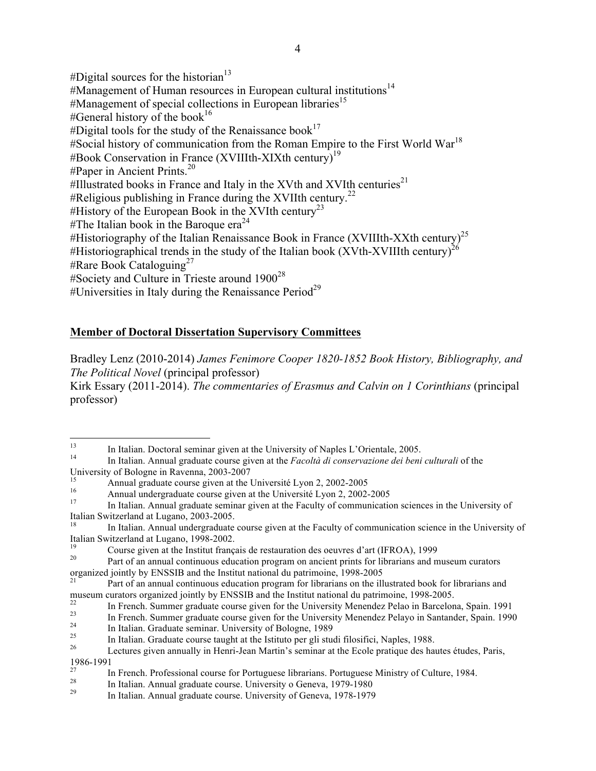#Digital sources for the historian $13$  $\#$ Management of Human resources in European cultural institutions<sup>14</sup>  $#$ Management of special collections in European libraries<sup>15</sup> #General history of the book<sup>16</sup> #Digital tools for the study of the Renaissance book<sup>17</sup>  $#$ Social history of communication from the Roman Empire to the First World War<sup>18</sup>  $\#$ Book Conservation in France (XVIIIth-XIXth century)<sup>19</sup>  $\#$ Paper in Ancient Prints.<sup>20</sup> #Illustrated books in France and Italy in the XVth and XVIth centuries<sup>21</sup>  $\#$ Religious publishing in France during the XVIIth century.<sup>22</sup> #History of the European Book in the XVIth century<sup>23</sup> #The Italian book in the Baroque era<sup>24</sup> #Historiography of the Italian Renaissance Book in France (XVIIIth-XXth century)<sup>25</sup> #Historiographical trends in the study of the Italian book (XVth-XVIIIth century)<sup>2</sup> #Rare Book Cataloguing<sup>27</sup> #Society and Culture in Trieste around  $1900^{28}$ #Universities in Italy during the Renaissance Period<sup>29</sup>

## **Member of Doctoral Dissertation Supervisory Committees**

Bradley Lenz (2010-2014) *James Fenimore Cooper 1820-1852 Book History, Bibliography, and The Political Novel* (principal professor) Kirk Essary (2011-2014). *The commentaries of Erasmus and Calvin on 1 Corinthians* (principal professor)

<sup>13</sup> In Italian. Doctoral seminar given at the University of Naples L'Orientale, 2005. <sup>14</sup> In Italian. Annual graduate course given at the *Facoltà di conservazione dei beni culturali* of the University of Bologne in Ravenna, 2003-2007<br>
Annual graduate course given at the Université Lyon 2, 2002-2005<br>
Annual undergraduate course given at the Université Lyon 2, 2002-2005<br>
In Italian. Annual graduate seminar give

Italian Switzerland at Lugano, 2003-2005.<br><sup>18</sup> In Italian. Annual undergraduate course given at the Faculty of communication science in the University of Italian Switzerland at Lugano, 1998-2002.<br>
Course given at the Institut français de restauration des oeuvres d'art (IFROA), 1999<br>
Part of an annual continuous education program on ancient prints for librarians and museum

organized jointly by ENSSIB and the Institut national du patrimoine, 1998-2005<br><sup>21</sup> Part of an annual continuous education program for librarians on the illustrated book for librarians and

museum curators organized jointly by ENSSIB and the Institut national du patrimoine, 1998-2005.<br>
In French. Summer graduate course given for the University Menendez Pelao in Barcelona, Spain. 1991<br>
In French. Summer gradua

<sup>1986-1991&</sup>lt;br>
In French. Professional course for Portuguese librarians. Portuguese Ministry of Culture, 1984.<br>
In Italian. Annual graduate course. University o Geneva, 1979-1980<br>
In Italian. Annual graduate course. University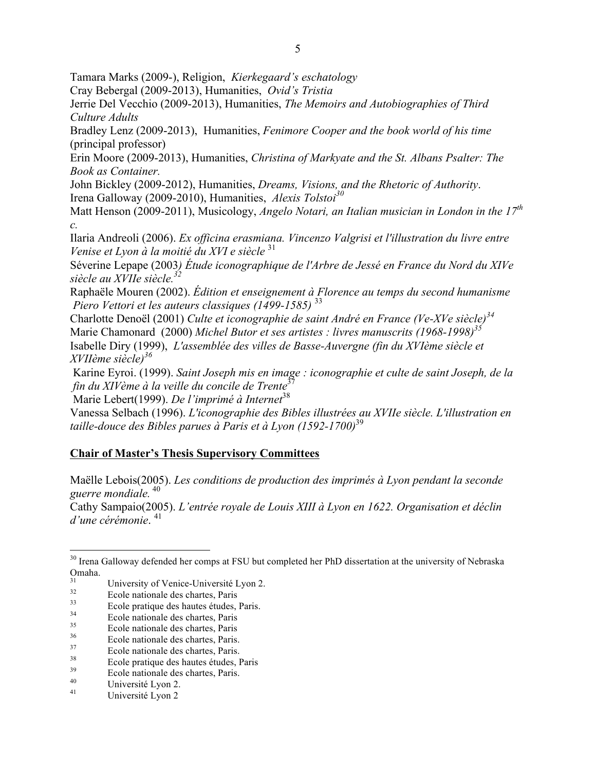Tamara Marks (2009-), Religion, *Kierkegaard's eschatology*

Cray Bebergal (2009-2013), Humanities, *Ovid's Tristia*

Jerrie Del Vecchio (2009-2013), Humanities, *The Memoirs and Autobiographies of Third Culture Adults* 

Bradley Lenz (2009-2013), Humanities, *Fenimore Cooper and the book world of his time* (principal professor)

Erin Moore (2009-2013), Humanities, *Christina of Markyate and the St. Albans Psalter: The Book as Container.*

John Bickley (2009-2012), Humanities, *Dreams, Visions, and the Rhetoric of Authority*. Irena Galloway (2009-2010), Humanities, *Alexis Tolstoi<sup>30</sup>*

Matt Henson (2009-2011), Musicology, *Angelo Notari, an Italian musician in London in the 17th c.*

Ilaria Andreoli (2006). *Ex officina erasmiana. Vincenzo Valgrisi et l'illustration du livre entre Venise et Lyon à la moitié du XVI e siècle* <sup>31</sup>

Séverine Lepape (2003*) Étude iconographique de l'Arbre de Jessé en France du Nord du XIVe siècle au XVIIe siècle.32*

Raphaële Mouren (2002). *Édition et enseignement à Florence au temps du second humanisme Piero Vettori et les auteurs classiques (1499-1585)* <sup>33</sup>

Charlotte Denoël (2001) *Culte et iconographie de saint André en France (Ve-XVe siècle)<sup>34</sup>* Marie Chamonard (2000) *Michel Butor et ses artistes : livres manuscrits (1968-1998)35* Isabelle Diry (1999), *L'assemblée des villes de Basse-Auvergne (fin du XVIème siècle et XVIIème siècle)<sup>36</sup>*

Karine Eyroi. (1999). *Saint Joseph mis en image : iconographie et culte de saint Joseph, de la fin du XIVème à la veille du concile de Trente*<sup>37</sup>

Marie Lebert(1999). *De l'imprimé à Internet*<sup>38</sup>

Vanessa Selbach (1996). *L'iconographie des Bibles illustrées au XVIIe siècle. L'illustration en taille-douce des Bibles parues à Paris et à Lyon (1592-1700)*<sup>39</sup>

# **Chair of Master's Thesis Supervisory Committees**

Maëlle Lebois(2005). *Les conditions de production des imprimés à Lyon pendant la seconde guerre mondiale.* <sup>40</sup>

Cathy Sampaio(2005). *L'entrée royale de Louis XIII à Lyon en 1622. Organisation et déclin d'une cérémonie*. <sup>41</sup>

<sup>&</sup>lt;sup>30</sup> Irena Galloway defended her comps at FSU but completed her PhD dissertation at the university of Nebraska Omaha.

<sup>&</sup>lt;sup>31</sup><br>
University of Venice-Université Lyon 2.<br>
Ecole nationale des chartes, Paris<br>
<sup>33</sup><br>
Ecole pratique des hautes études, Paris.<br>
Ecole nationale des chartes, Paris<br>
<sup>36</sup><br>
Ecole nationale des chartes, Paris.<br>
<sup>37</sup><br>
Ecole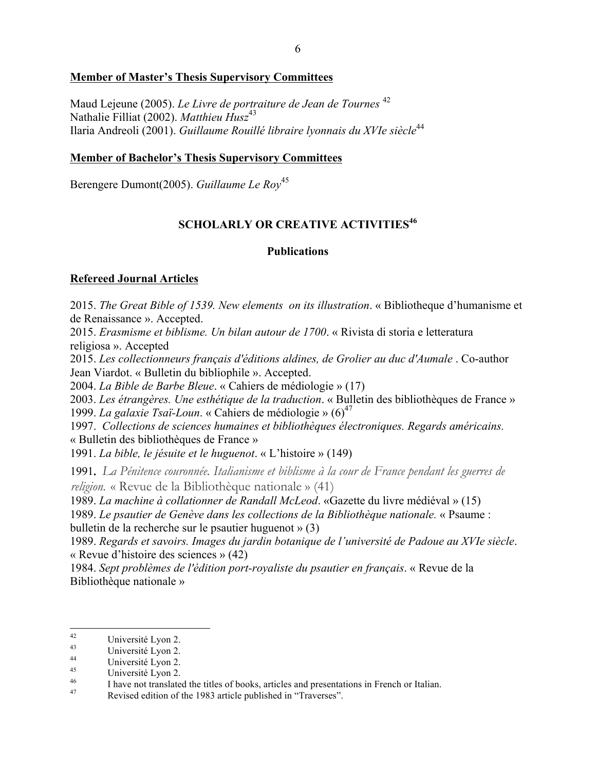## **Member of Master's Thesis Supervisory Committees**

Maud Lejeune (2005). *Le Livre de portraiture de Jean de Tournes* <sup>42</sup> Nathalie Filliat (2002). *Matthieu Husz*<sup>43</sup> Ilaria Andreoli (2001). *Guillaume Rouillé libraire lyonnais du XVIe siècle*<sup>44</sup>

## **Member of Bachelor's Thesis Supervisory Committees**

Berengere Dumont(2005). *Guillaume Le Roy*<sup>45</sup>

# **SCHOLARLY OR CREATIVE ACTIVITIES<sup>46</sup>**

## **Publications**

## **Refereed Journal Articles**

2015. *The Great Bible of 1539. New elements on its illustration*. « Bibliotheque d'humanisme et de Renaissance ». Accepted.

2015. *Erasmisme et biblisme. Un bilan autour de 1700*. « Rivista di storia e letteratura religiosa ». Accepted

2015. *Les collectionneurs français d'éditions aldines, de Grolier au duc d'Aumale* . Co-author Jean Viardot. « Bulletin du bibliophile ». Accepted.

2004. *La Bible de Barbe Bleue*. « Cahiers de médiologie » (17)

2003. *Les étrangères. Une esthétique de la traduction*. « Bulletin des bibliothèques de France » 1999. *La galaxie Tsaï-Loun*. « Cahiers de médiologie »  $(6)^{47}$ 

1997. *Collections de sciences humaines et bibliothèques électroniques. Regards américains.*  « Bulletin des bibliothèques de France »

1991. *La bible, le jésuite et le huguenot*. « L'histoire » (149)

 1991*. La Pénitence couronnée. Italianisme et biblisme à la cour de France pendant les guerres de religion.* « Revue de la Bibliothèque nationale » (41)

1989. *La machine à collationner de Randall McLeod*. «Gazette du livre médiéval » (15)

1989. *Le psautier de Genève dans les collections de la Bibliothèque nationale.* « Psaume : bulletin de la recherche sur le psautier huguenot » (3)

1989. *Regards et savoirs. Images du jardin botanique de l'université de Padoue au XVIe siècle*. « Revue d'histoire des sciences » (42)

1984. *Sept problèmes de l'édition port-royaliste du psautier en français*. « Revue de la Bibliothèque nationale »

<sup>&</sup>lt;sup>42</sup><br>
Université Lyon 2.<br>
Université Lyon 2.<br>
Université Lyon 2.<br>
Université Lyon 2.<br>
I have not translated the titles of books, articles and presentations in French or Italian.<br>
Revised edition of the 1983 article publish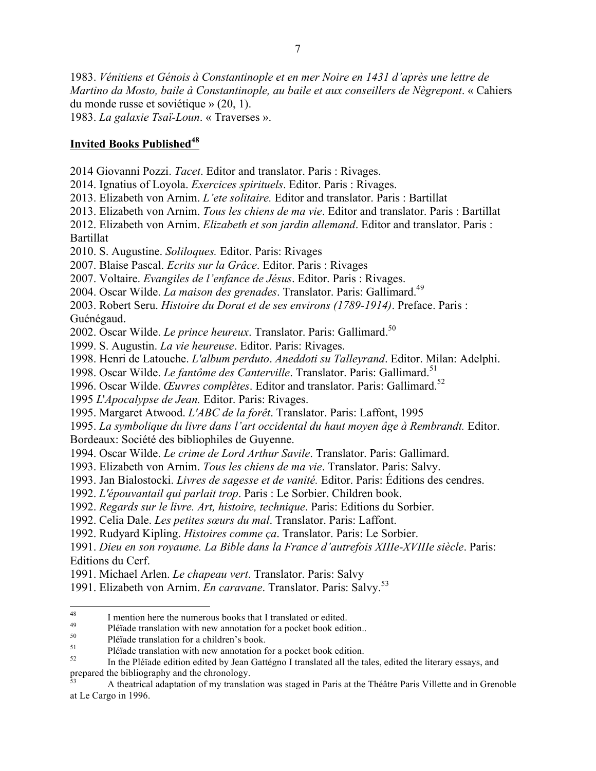1983. *Vénitiens et Génois à Constantinople et en mer Noire en 1431 d'après une lettre de Martino da Mosto, baile à Constantinople, au baile et aux conseillers de Nègrepont*. « Cahiers du monde russe et soviétique » (20, 1).

1983. *La galaxie Tsaï-Loun*. « Traverses ».

### **Invited Books Published<sup>48</sup>**

2014 Giovanni Pozzi. *Tacet*. Editor and translator. Paris : Rivages.

2014. Ignatius of Loyola. *Exercices spirituels*. Editor. Paris : Rivages.

2013. Elizabeth von Arnim. *L'ete solitaire.* Editor and translator. Paris : Bartillat

2013. Elizabeth von Arnim. *Tous les chiens de ma vie*. Editor and translator. Paris : Bartillat

2012. Elizabeth von Arnim. *Elizabeth et son jardin allemand*. Editor and translator. Paris : Bartillat

2010. S. Augustine. *Soliloques.* Editor. Paris: Rivages

2007. Blaise Pascal. *Ecrits sur la Grâce*. Editor. Paris : Rivages

2007. Voltaire. *Evangiles de l'enfance de Jésus*. Editor. Paris : Rivages.

2004. Oscar Wilde. *La maison des grenades*. Translator. Paris: Gallimard.49

2003. Robert Seru. *Histoire du Dorat et de ses environs (1789-1914)*. Preface. Paris :

Guénégaud.

2002. Oscar Wilde. *Le prince heureux*. Translator. Paris: Gallimard.<sup>50</sup>

1999. S. Augustin. *La vie heureuse*. Editor. Paris: Rivages.

1998. Henri de Latouche. *L'album perduto*. *Aneddoti su Talleyrand*. Editor. Milan: Adelphi.

1998. Oscar Wilde. *Le fantôme des Canterville*. Translator. Paris: Gallimard.<sup>51</sup>

1996. Oscar Wilde. *Œuvres complètes*. Editor and translator. Paris: Gallimard.<sup>52</sup>

1995 *L*'*Apocalypse de Jean.* Editor. Paris: Rivages.

1995. Margaret Atwood. *L'ABC de la forêt*. Translator. Paris: Laffont, 1995

1995. *La symbolique du livre dans l'art occidental du haut moyen âge à Rembrandt.* Editor. Bordeaux: Société des bibliophiles de Guyenne.

1994. Oscar Wilde. *Le crime de Lord Arthur Savile*. Translator. Paris: Gallimard.

1993. Elizabeth von Arnim. *Tous les chiens de ma vie*. Translator. Paris: Salvy.

1993. Jan Bialostocki. *Livres de sagesse et de vanité.* Editor. Paris: Éditions des cendres.

1992. *L'épouvantail qui parlait trop*. Paris : Le Sorbier. Children book.

1992. *Regards sur le livre. Art, histoire, technique*. Paris: Editions du Sorbier.

1992. Celia Dale. *Les petites sœurs du mal*. Translator. Paris: Laffont.

1992. Rudyard Kipling. *Histoires comme ça*. Translator. Paris: Le Sorbier.

1991. *Dieu en son royaume. La Bible dans la France d'autrefois XIIIe-XVIIIe siècle*. Paris: Editions du Cerf.

1991. Michael Arlen. *Le chapeau vert*. Translator. Paris: Salvy

1991. Elizabeth von Arnim. *En caravane*. Translator. Paris: Salvy.<sup>53</sup>

<sup>53</sup> A theatrical adaptation of my translation was staged in Paris at the Théâtre Paris Villette and in Grenoble at Le Cargo in 1996.

<sup>&</sup>lt;sup>48</sup><br>
I mention here the numerous books that I translated or edited.<br>
<sup>49</sup><br>
Pléïade translation with new annotation for a pocket book edition.<br>
<sup>50</sup><br>
Pléïade translation with new annotation for a pocket book edition.<br>
<sup>51</sup> prepared the bibliography and the chronology.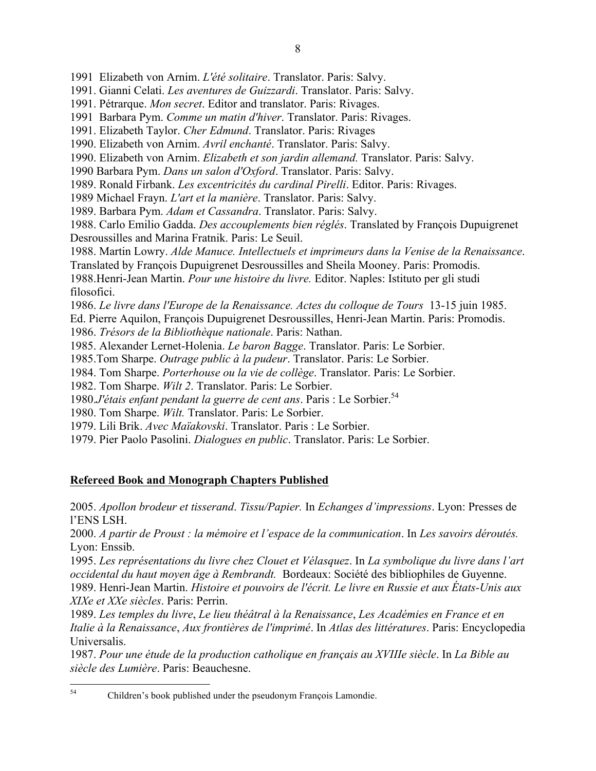1991 Elizabeth von Arnim. *L'été solitaire*. Translator. Paris: Salvy.

1991. Gianni Celati. *Les aventures de Guizzardi*. Translator. Paris: Salvy.

- 1991. Pétrarque. *Mon secret*. Editor and translator. Paris: Rivages.
- 1991 Barbara Pym. *Comme un matin d'hiver*. Translator. Paris: Rivages.
- 1991. Elizabeth Taylor. *Cher Edmund*. Translator. Paris: Rivages
- 1990. Elizabeth von Arnim. *Avril enchanté*. Translator. Paris: Salvy.
- 1990. Elizabeth von Arnim. *Elizabeth et son jardin allemand.* Translator. Paris: Salvy.
- 1990 Barbara Pym. *Dans un salon d'Oxford*. Translator. Paris: Salvy.

1989. Ronald Firbank. *Les excentricités du cardinal Pirelli*. Editor. Paris: Rivages.

1989 Michael Frayn. *L'art et la manière*. Translator. Paris: Salvy.

1989. Barbara Pym. *Adam et Cassandra*. Translator. Paris: Salvy.

1988. Carlo Emilio Gadda. *Des accouplements bien réglés*. Translated by François Dupuigrenet Desroussilles and Marina Fratnik. Paris: Le Seuil.

1988. Martin Lowry. *Alde Manuce. Intellectuels et imprimeurs dans la Venise de la Renaissance*.

Translated by François Dupuigrenet Desroussilles and Sheila Mooney. Paris: Promodis.

1988.Henri-Jean Martin. *Pour une histoire du livre.* Editor. Naples: Istituto per gli studi filosofici.

1986. *Le livre dans l'Europe de la Renaissance. Actes du colloque de Tours* 13-15 juin 1985.

Ed. Pierre Aquilon, François Dupuigrenet Desroussilles, Henri-Jean Martin. Paris: Promodis.

1986. *Trésors de la Bibliothèque nationale*. Paris: Nathan.

1985. Alexander Lernet-Holenia. *Le baron Bagge*. Translator. Paris: Le Sorbier.

1985.Tom Sharpe. *Outrage public à la pudeur*. Translator. Paris: Le Sorbier.

1984. Tom Sharpe. *Porterhouse ou la vie de collège*. Translator. Paris: Le Sorbier.

1982. Tom Sharpe. *Wilt 2*. Translator. Paris: Le Sorbier.

1980.*J'étais enfant pendant la guerre de cent ans*. Paris : Le Sorbier.54

1980. Tom Sharpe. *Wilt.* Translator. Paris: Le Sorbier.

1979. Lili Brik. *Avec Maïakovski*. Translator. Paris : Le Sorbier.

1979. Pier Paolo Pasolini. *Dialogues en public*. Translator. Paris: Le Sorbier.

## **Refereed Book and Monograph Chapters Published**

2005. *Apollon brodeur et tisserand*. *Tissu/Papier.* In *Echanges d'impressions*. Lyon: Presses de l'ENS LSH.

2000. *A partir de Proust : la mémoire et l'espace de la communication*. In *Les savoirs déroutés.*  Lyon: Enssib.

1995. *Les représentations du livre chez Clouet et Vélasquez*. In *La symbolique du livre dans l'art occidental du haut moyen âge à Rembrandt.* Bordeaux: Société des bibliophiles de Guyenne. 1989. Henri-Jean Martin. *Histoire et pouvoirs de l'écrit. Le livre en Russie et aux États-Unis aux XIXe et XXe siècles*. Paris: Perrin.

1989. *Les temples du livre*, *Le lieu théâtral à la Renaissance*, *Les Académies en France et en Italie à la Renaissance*, *Aux frontières de l'imprimé*. In *Atlas des littératures*. Paris: Encyclopedia Universalis.

1987. *Pour une étude de la production catholique en français au XVIIIe siècle*. In *La Bible au siècle des Lumière*. Paris: Beauchesne.

 <sup>54</sup> Children's book published under the pseudonym François Lamondie.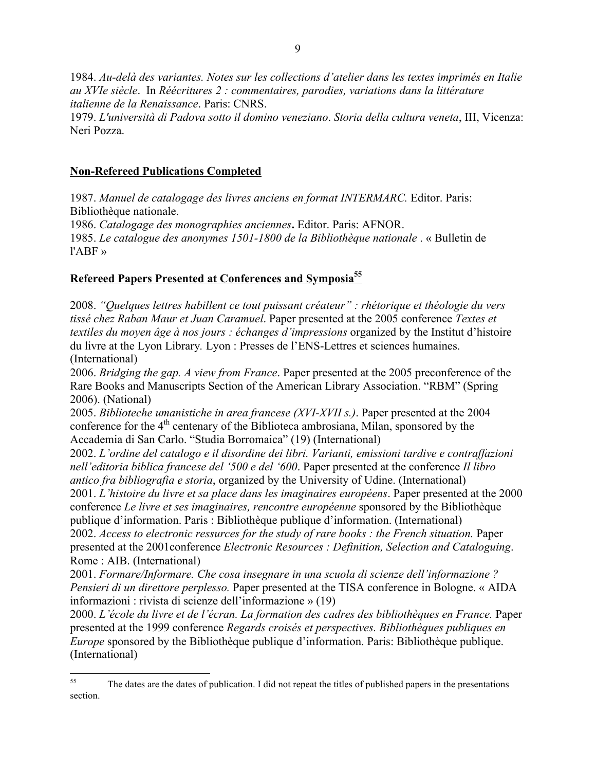1984. *Au-delà des variantes. Notes sur les collections d'atelier dans les textes imprimés en Italie au XVIe siècle*. In *Réécritures 2 : commentaires, parodies, variations dans la littérature italienne de la Renaissance*. Paris: CNRS.

1979. *L'università di Padova sotto il domino veneziano*. *Storia della cultura veneta*, III, Vicenza: Neri Pozza.

### **Non-Refereed Publications Completed**

1987. *Manuel de catalogage des livres anciens en format INTERMARC.* Editor. Paris: Bibliothèque nationale.

1986. *Catalogage des monographies anciennes***.** Editor. Paris: AFNOR.

1985. *Le catalogue des anonymes 1501-1800 de la Bibliothèque nationale* . « Bulletin de l'ABF »

## **Refereed Papers Presented at Conferences and Symposia55**

2008. *"Quelques lettres habillent ce tout puissant créateur" : rhétorique et théologie du vers tissé chez Raban Maur et Juan Caramuel*. Paper presented at the 2005 conference *Textes et textiles du moyen âge à nos jours : échanges d'impressions* organized by the Institut d'histoire du livre at the Lyon Library*.* Lyon : Presses de l'ENS-Lettres et sciences humaines. (International)

2006. *Bridging the gap. A view from France*. Paper presented at the 2005 preconference of the Rare Books and Manuscripts Section of the American Library Association. "RBM" (Spring 2006). (National)

2005. *Biblioteche umanistiche in area francese (XVI-XVII s.)*. Paper presented at the 2004 conference for the 4<sup>th</sup> centenary of the Biblioteca ambrosiana, Milan, sponsored by the Accademia di San Carlo. "Studia Borromaica" (19) (International)

2002. *L'ordine del catalogo e il disordine dei libri. Varianti, emissioni tardive e contraffazioni nell'editoria biblica francese del '500 e del '600*. Paper presented at the conference *Il libro antico fra bibliografia e storia*, organized by the University of Udine. (International) 2001. *L'histoire du livre et sa place dans les imaginaires européens*. Paper presented at the 2000 conference *Le livre et ses imaginaires, rencontre européenne* sponsored by the Bibliothèque publique d'information. Paris : Bibliothèque publique d'information. (International)

2002. *Access to electronic ressurces for the study of rare books : the French situation.* Paper presented at the 2001conference *Electronic Resources : Definition, Selection and Cataloguing*. Rome : AIB. (International)

2001. *Formare/Informare. Che cosa insegnare in una scuola di scienze dell'informazione ? Pensieri di un direttore perplesso.* Paper presented at the TISA conference in Bologne. « AIDA informazioni : rivista di scienze dell'informazione » (19)

2000. *L'école du livre et de l'écran. La formation des cadres des bibliothèques en France.* Paper presented at the 1999 conference *Regards croisés et perspectives. Bibliothèques publiques en Europe* sponsored by the Bibliothèque publique d'information. Paris: Bibliothèque publique. (International)

<sup>&</sup>lt;sup>55</sup> The dates are the dates of publication. I did not repeat the titles of published papers in the presentations section.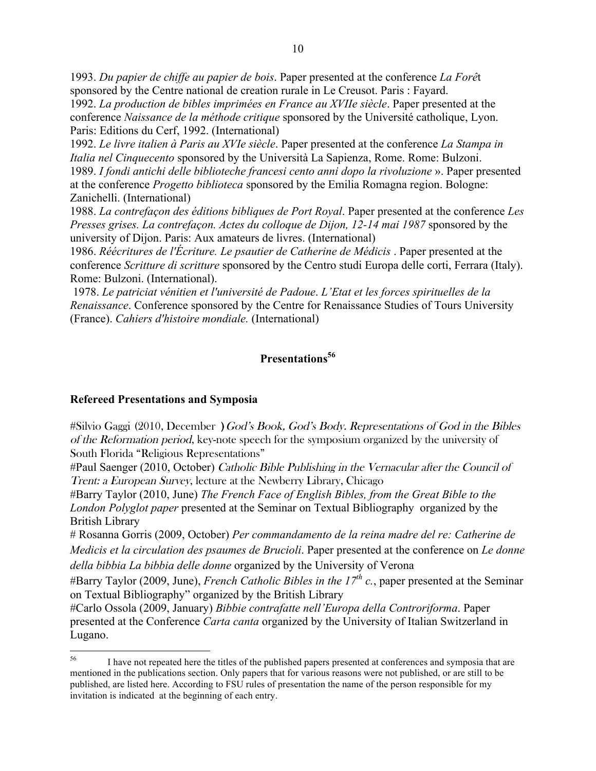1993. *Du papier de chiffe au papier de bois*. Paper presented at the conference *La Forê*t sponsored by the Centre national de creation rurale in Le Creusot. Paris : Fayard.

1992. *La production de bibles imprimées en France au XVIIe siècle*. Paper presented at the conference *Naissance de la méthode critique* sponsored by the Université catholique, Lyon. Paris: Editions du Cerf, 1992. (International)

1992. *Le livre italien à Paris au XVIe siècle*. Paper presented at the conference *La Stampa in Italia nel Cinquecento* sponsored by the Università La Sapienza, Rome. Rome: Bulzoni. 1989. *I fondi antichi delle biblioteche francesi cento anni dopo la rivoluzione* ». Paper presented at the conference *Progetto biblioteca* sponsored by the Emilia Romagna region. Bologne: Zanichelli. (International)

1988. *La contrefaçon des éditions bibliques de Port Royal*. Paper presented at the conference *Les Presses grises. La contrefaçon. Actes du colloque de Dijon, 12-14 mai 1987* sponsored by the university of Dijon. Paris: Aux amateurs de livres. (International)

1986. *Réécritures de l'Écriture. Le psautier de Catherine de Médicis* . Paper presented at the conference *Scritture di scritture* sponsored by the Centro studi Europa delle corti, Ferrara (Italy). Rome: Bulzoni. (International).

1978. *Le patriciat vénitien et l'université de Padoue*. *L'Etat et les forces spirituelles de la Renaissance*. Conference sponsored by the Centre for Renaissance Studies of Tours University (France). *Cahiers d'histoire mondiale.* (International)

## **Presentations<sup>56</sup>**

## **Refereed Presentations and Symposia**

 $\#$ Silvio Gaggi (2010, December ) God's Book, God's Body. Representations of God in the Bibles of the Reformation period, key-note speech for the symposium organized by the university of South Florida "Religious Representations"

#Paul Saenger (2010, October) Catholic Bible Publishing in the Vernacular after the Council of Trent: a European Survey, lecture at the Newberry Library, Chicago

#Barry Taylor (2010, June) *The French Face of English Bibles, from the Great Bible to the London Polyglot paper* presented at the Seminar on Textual Bibliography organized by the British Library

# Rosanna Gorris (2009, October) *Per commandamento de la reina madre del re: Catherine de Medicis et la circulation des psaumes de Brucioli*. Paper presented at the conference on *Le donne della bibbia La bibbia delle donne* organized by the University of Verona

#Barry Taylor (2009, June), *French Catholic Bibles in the 17th c.*, paper presented at the Seminar on Textual Bibliography" organized by the British Library

#Carlo Ossola (2009, January) *Bibbie contrafatte nell'Europa della Controriforma*. Paper presented at the Conference *Carta canta* organized by the University of Italian Switzerland in Lugano.

<sup>&</sup>lt;sup>56</sup> I have not repeated here the titles of the published papers presented at conferences and symposia that are mentioned in the publications section. Only papers that for various reasons were not published, or are still to be published, are listed here. According to FSU rules of presentation the name of the person responsible for my invitation is indicated at the beginning of each entry.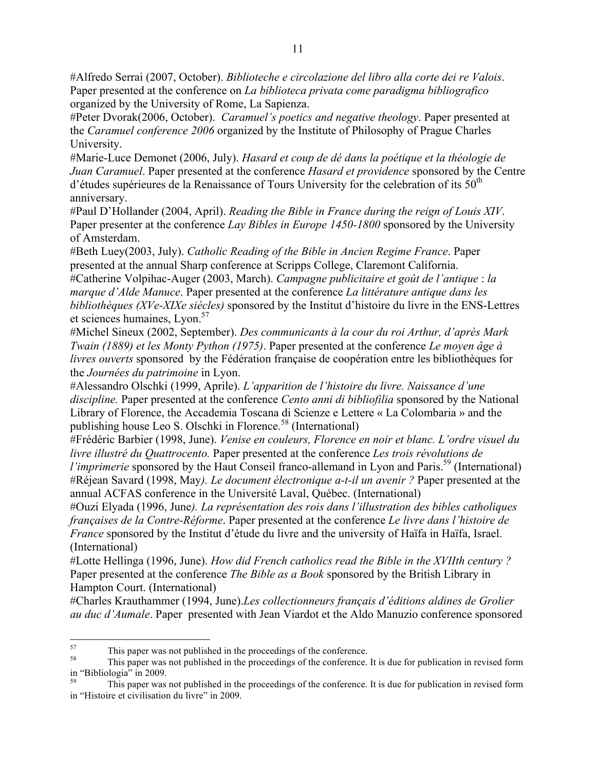#Alfredo Serrai (2007, October). *Biblioteche e circolazione del libro alla corte dei re Valois*. Paper presented at the conference on *La biblioteca privata come paradigma bibliografico* organized by the University of Rome, La Sapienza.

#Peter Dvorak(2006, October). *Caramuel's poetics and negative theology*. Paper presented at the *Caramuel conference 2006* organized by the Institute of Philosophy of Prague Charles University.

#Marie-Luce Demonet (2006, July). *Hasard et coup de dé dans la poétique et la théologie de Juan Caramuel*. Paper presented at the conference *Hasard et providence* sponsored by the Centre d'études supérieures de la Renaissance of Tours University for the celebration of its  $50<sup>th</sup>$ anniversary.

#Paul D'Hollander (2004, April). *Reading the Bible in France during the reign of Louis XIV*. Paper presenter at the conference *Lay Bibles in Europe 1450-1800* sponsored by the University of Amsterdam.

#Beth Luey(2003, July). *Catholic Reading of the Bible in Ancien Regime France*. Paper presented at the annual Sharp conference at Scripps College, Claremont California.

#Catherine Volpihac-Auger (2003, March). *Campagne publicitaire et goût de l'antique* : *la marque d'Alde Manuce*. Paper presented at the conference *La littérature antique dans les bibliothèques (XVe-XIXe siècles)* sponsored by the Institut d'histoire du livre in the ENS-Lettres et sciences humaines, Lyon.<sup>57</sup>

#Michel Sineux (2002, September). *Des communicants à la cour du roi Arthur, d'après Mark Twain (1889) et les Monty Python (1975)*. Paper presented at the conference *Le moyen âge à livres ouverts* sponsored by the Fédération française de coopération entre les bibliothèques for the *Journées du patrimoine* in Lyon.

#Alessandro Olschki (1999, Aprile). *L'apparition de l'histoire du livre. Naissance d'une discipline.* Paper presented at the conference *Cento anni di bibliofilia* sponsored by the National Library of Florence, the Accademia Toscana di Scienze e Lettere « La Colombaria » and the publishing house Leo S. Olschki in Florence.<sup>58</sup> (International)

#Frédéric Barbier (1998, June). *Venise en couleurs, Florence en noir et blanc. L'ordre visuel du livre illustré du Quattrocento.* Paper presented at the conference *Les trois révolutions de l'imprimerie* sponsored by the Haut Conseil franco-allemand in Lyon and Paris.<sup>59</sup> (International) #Réjean Savard (1998, May*). Le document électronique a-t-il un avenir ?* Paper presented at the annual ACFAS conference in the Université Laval, Québec. (International)

#Ouzi Elyada (1996, June*). La représentation des rois dans l'illustration des bibles catholiques françaises de la Contre-Réforme*. Paper presented at the conference *Le livre dans l'histoire de France* sponsored by the Institut d'étude du livre and the university of Haïfa in Haïfa, Israel. (International)

#Lotte Hellinga (1996, June). *How did French catholics read the Bible in the XVIIth century ?* Paper presented at the conference *The Bible as a Book* sponsored by the British Library in Hampton Court. (International)

#Charles Krauthammer (1994, June).*Les collectionneurs français d'éditions aldines de Grolier au duc d'Aumale*. Paper presented with Jean Viardot et the Aldo Manuzio conference sponsored

 $57$  This paper was not published in the proceedings of the conference.<br><sup>58</sup> This paper was not published in the proceedings of the conference. It is due for publication in revised form in "Bibliologia" in 2009.

This paper was not published in the proceedings of the conference. It is due for publication in revised form in "Histoire et civilisation du livre" in 2009.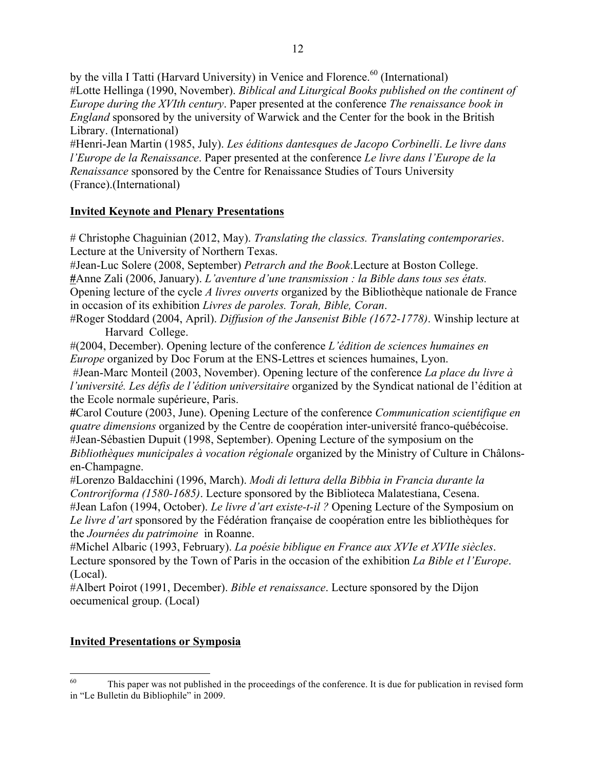by the villa I Tatti (Harvard University) in Venice and Florence.<sup>60</sup> (International) #Lotte Hellinga (1990, November). *Biblical and Liturgical Books published on the continent of Europe during the XVIth century*. Paper presented at the conference *The renaissance book in England* sponsored by the university of Warwick and the Center for the book in the British Library. (International)

#Henri-Jean Martin (1985, July). *Les éditions dantesques de Jacopo Corbinelli*. *Le livre dans l'Europe de la Renaissance*. Paper presented at the conference *Le livre dans l'Europe de la Renaissance* sponsored by the Centre for Renaissance Studies of Tours University (France).(International)

## **Invited Keynote and Plenary Presentations**

# Christophe Chaguinian (2012, May). *Translating the classics. Translating contemporaries*. Lecture at the University of Northern Texas.

#Jean-Luc Solere (2008, September) *Petrarch and the Book*.Lecture at Boston College.

**#**Anne Zali (2006, January). *L'aventure d'une transmission : la Bible dans tous ses états.*  Opening lecture of the cycle *A livres ouverts* organized by the Bibliothèque nationale de France in occasion of its exhibition *Livres de paroles. Torah, Bible, Coran*.

#Roger Stoddard (2004, April). *Diffusion of the Jansenist Bible (1672-1778)*. Winship lecture at Harvard College.

#(2004, December). Opening lecture of the conference *L'édition de sciences humaines en Europe* organized by Doc Forum at the ENS-Lettres et sciences humaines, Lyon.

#Jean-Marc Monteil (2003, November). Opening lecture of the conference *La place du livre à l'université. Les défis de l'édition universitaire* organized by the Syndicat national de l'édition at the Ecole normale supérieure, Paris.

**#**Carol Couture (2003, June). Opening Lecture of the conference *Communication scientifique en quatre dimensions* organized by the Centre de coopération inter-université franco-québécoise. #Jean-Sébastien Dupuit (1998, September). Opening Lecture of the symposium on the *Bibliothèques municipales à vocation régionale* organized by the Ministry of Culture in Châlonsen-Champagne.

#Lorenzo Baldacchini (1996, March). *Modi di lettura della Bibbia in Francia durante la Controriforma (1580-1685)*. Lecture sponsored by the Biblioteca Malatestiana, Cesena. #Jean Lafon (1994, October). *Le livre d'art existe-t-il ?* Opening Lecture of the Symposium on *Le livre d'art* sponsored by the Fédération française de coopération entre les bibliothèques for the *Journées du patrimoine* in Roanne.

#Michel Albaric (1993, February). *La poésie biblique en France aux XVIe et XVIIe siècles*. Lecture sponsored by the Town of Paris in the occasion of the exhibition *La Bible et l'Europe*. (Local).

#Albert Poirot (1991, December). *Bible et renaissance*. Lecture sponsored by the Dijon oecumenical group. (Local)

## **Invited Presentations or Symposia**

<sup>&</sup>lt;sup>60</sup> This paper was not published in the proceedings of the conference. It is due for publication in revised form in "Le Bulletin du Bibliophile" in 2009.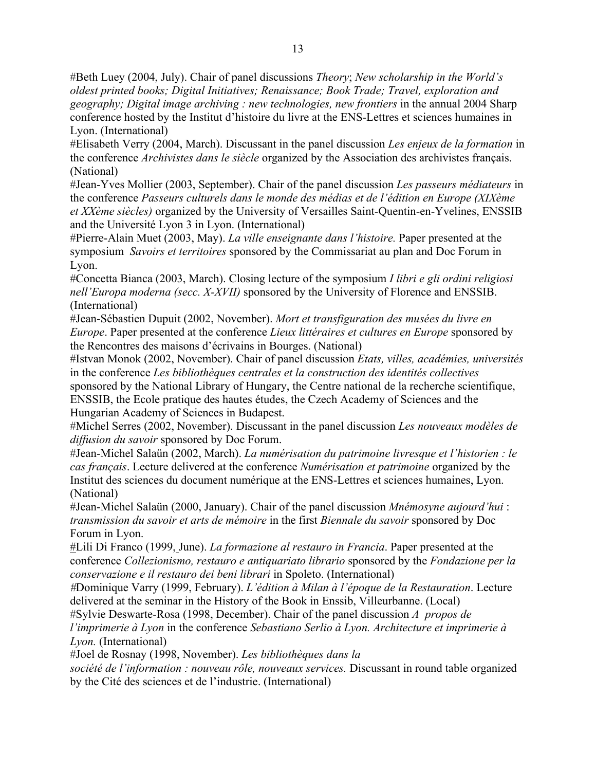#Beth Luey (2004, July). Chair of panel discussions *Theory*; *New scholarship in the World's oldest printed books; Digital Initiatives; Renaissance; Book Trade; Travel, exploration and geography; Digital image archiving : new technologies, new frontiers* in the annual 2004 Sharp conference hosted by the Institut d'histoire du livre at the ENS-Lettres et sciences humaines in Lyon. (International)

#Elisabeth Verry (2004, March). Discussant in the panel discussion *Les enjeux de la formation* in the conference *Archivistes dans le siècle* organized by the Association des archivistes français. (National)

#Jean-Yves Mollier (2003, September). Chair of the panel discussion *Les passeurs médiateurs* in the conference *Passeurs culturels dans le monde des médias et de l'édition en Europe (XIXème et XXème siècles)* organized by the University of Versailles Saint-Quentin-en-Yvelines, ENSSIB and the Université Lyon 3 in Lyon. (International)

#Pierre-Alain Muet (2003, May). *La ville enseignante dans l'histoire.* Paper presented at the symposium *Savoirs et territoires* sponsored by the Commissariat au plan and Doc Forum in Lyon.

#Concetta Bianca (2003, March). Closing lecture of the symposium *I libri e gli ordini religiosi nell'Europa moderna (secc. X-XVII)* sponsored by the University of Florence and ENSSIB. (International)

#Jean-Sébastien Dupuit (2002, November). *Mort et transfiguration des musées du livre en Europe*. Paper presented at the conference *Lieux littéraires et cultures en Europe* sponsored by the Rencontres des maisons d'écrivains in Bourges. (National)

#Istvan Monok (2002, November). Chair of panel discussion *Etats, villes, académies, universités* in the conference *Les bibliothèques centrales et la construction des identités collectives* sponsored by the National Library of Hungary, the Centre national de la recherche scientifique, ENSSIB, the Ecole pratique des hautes études, the Czech Academy of Sciences and the Hungarian Academy of Sciences in Budapest.

#Michel Serres (2002, November). Discussant in the panel discussion *Les nouveaux modèles de diffusion du savoir* sponsored by Doc Forum.

#Jean-Michel Salaün (2002, March). *La numérisation du patrimoine livresque et l'historien : le cas français*. Lecture delivered at the conference *Numérisation et patrimoine* organized by the Institut des sciences du document numérique at the ENS-Lettres et sciences humaines, Lyon. (National)

#Jean-Michel Salaün (2000, January). Chair of the panel discussion *Mnémosyne aujourd'hui* : *transmission du savoir et arts de mémoire* in the first *Biennale du savoir* sponsored by Doc Forum in Lyon.

#Lili Di Franco (1999, June). *La formazione al restauro in Francia*. Paper presented at the conference *Collezionismo, restauro e antiquariato librario* sponsored by the *Fondazione per la conservazione e il restauro dei beni librari* in Spoleto. (International)

*#*Dominique Varry (1999, February). *L'édition à Milan à l'époque de la Restauration*. Lecture delivered at the seminar in the History of the Book in Enssib, Villeurbanne. (Local)

#Sylvie Deswarte-Rosa (1998, December). Chair of the panel discussion *A propos de l'imprimerie à Lyon* in the conference *Sebastiano Serlio à Lyon. Architecture et imprimerie à Lyon.* (International)

#Joel de Rosnay (1998, November). *Les bibliothèques dans la* 

*société de l'information : nouveau rôle, nouveaux services.* Discussant in round table organized by the Cité des sciences et de l'industrie. (International)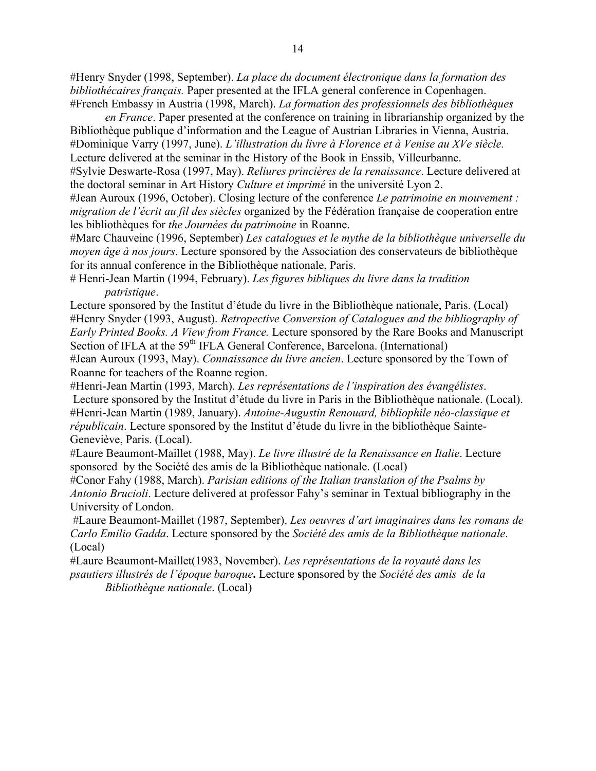#Henry Snyder (1998, September). *La place du document électronique dans la formation des bibliothécaires français.* Paper presented at the IFLA general conference in Copenhagen. #French Embassy in Austria (1998, March). *La formation des professionnels des bibliothèques* 

*en France*. Paper presented at the conference on training in librarianship organized by the Bibliothèque publique d'information and the League of Austrian Libraries in Vienna, Austria. #Dominique Varry (1997, June). *L'illustration du livre à Florence et à Venise au XVe siècle.* Lecture delivered at the seminar in the History of the Book in Enssib, Villeurbanne.

#Sylvie Deswarte-Rosa (1997, May). *Reliures princières de la renaissance*. Lecture delivered at the doctoral seminar in Art History *Culture et imprimé* in the université Lyon 2.

#Jean Auroux (1996, October). Closing lecture of the conference *Le patrimoine en mouvement : migration de l'écrit au fil des siècles* organized by the Fédération française de cooperation entre les bibliothèques for *the Journées du patrimoine* in Roanne.

#Marc Chauveinc (1996, September) *Les catalogues et le mythe de la bibliothèque universelle du moyen âge à nos jours*. Lecture sponsored by the Association des conservateurs de bibliothèque for its annual conference in the Bibliothèque nationale, Paris.

# Henri-Jean Martin (1994, February). *Les figures bibliques du livre dans la tradition patristique*.

Lecture sponsored by the Institut d'étude du livre in the Bibliothèque nationale, Paris. (Local) #Henry Snyder (1993, August). *Retropective Conversion of Catalogues and the bibliography of Early Printed Books. A View from France.* Lecture sponsored by the Rare Books and Manuscript Section of IFLA at the 59<sup>th</sup> IFLA General Conference, Barcelona. (International) #Jean Auroux (1993, May). *Connaissance du livre ancien*. Lecture sponsored by the Town of Roanne for teachers of the Roanne region.

#Henri-Jean Martin (1993, March). *Les représentations de l'inspiration des évangélistes*. Lecture sponsored by the Institut d'étude du livre in Paris in the Bibliothèque nationale. (Local). #Henri-Jean Martin (1989, January). *Antoine-Augustin Renouard, bibliophile néo-classique et républicain*. Lecture sponsored by the Institut d'étude du livre in the bibliothèque Sainte-Geneviève, Paris. (Local).

#Laure Beaumont-Maillet (1988, May). *Le livre illustré de la Renaissance en Italie*. Lecture sponsored by the Société des amis de la Bibliothèque nationale. (Local)

#Conor Fahy (1988, March). *Parisian editions of the Italian translation of the Psalms by Antonio Brucioli*. Lecture delivered at professor Fahy's seminar in Textual bibliography in the University of London.

#Laure Beaumont-Maillet (1987, September). *Les oeuvres d'art imaginaires dans les romans de Carlo Emilio Gadda*. Lecture sponsored by the *Société des amis de la Bibliothèque nationale*. (Local)

#Laure Beaumont-Maillet(1983, November). *Les représentations de la royauté dans les psautiers illustrés de l'époque baroque***.** Lecture **s**ponsored by the *Société des amis de la Bibliothèque nationale*. (Local)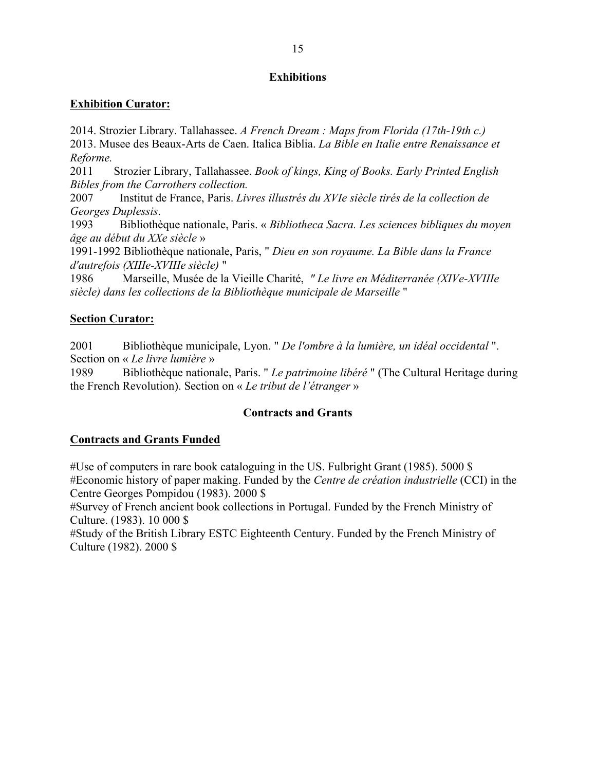## **Exhibitions**

## **Exhibition Curator:**

2014. Strozier Library. Tallahassee. *A French Dream : Maps from Florida (17th-19th c.)* 2013. Musee des Beaux-Arts de Caen. Italica Biblia. *La Bible en Italie entre Renaissance et Reforme.*

2011 Strozier Library, Tallahassee. *Book of kings, King of Books. Early Printed English Bibles from the Carrothers collection.*

2007 Institut de France, Paris. *Livres illustrés du XVIe siècle tirés de la collection de Georges Duplessis*.

1993 Bibliothèque nationale, Paris. « *Bibliotheca Sacra. Les sciences bibliques du moyen âge au début du XXe siècle* »

1991-1992 Bibliothèque nationale, Paris, " *Dieu en son royaume. La Bible dans la France d'autrefois (XIIIe-XVIIIe siècle)* "

1986 Marseille, Musée de la Vieille Charité, *" Le livre en Méditerranée (XIVe-XVIIIe siècle) dans les collections de la Bibliothèque municipale de Marseille* "

## **Section Curator:**

2001 Bibliothèque municipale, Lyon. " *De l'ombre à la lumière, un idéal occidental* ". Section on « *Le livre lumière* »

1989 Bibliothèque nationale, Paris. " *Le patrimoine libéré* " (The Cultural Heritage during the French Revolution). Section on « *Le tribut de l'étranger* »

## **Contracts and Grants**

## **Contracts and Grants Funded**

#Use of computers in rare book cataloguing in the US. Fulbright Grant (1985). 5000 \$ #Economic history of paper making. Funded by the *Centre de création industrielle* (CCI) in the Centre Georges Pompidou (1983). 2000 \$

#Survey of French ancient book collections in Portugal. Funded by the French Ministry of Culture. (1983). 10 000 \$

#Study of the British Library ESTC Eighteenth Century. Funded by the French Ministry of Culture (1982). 2000 \$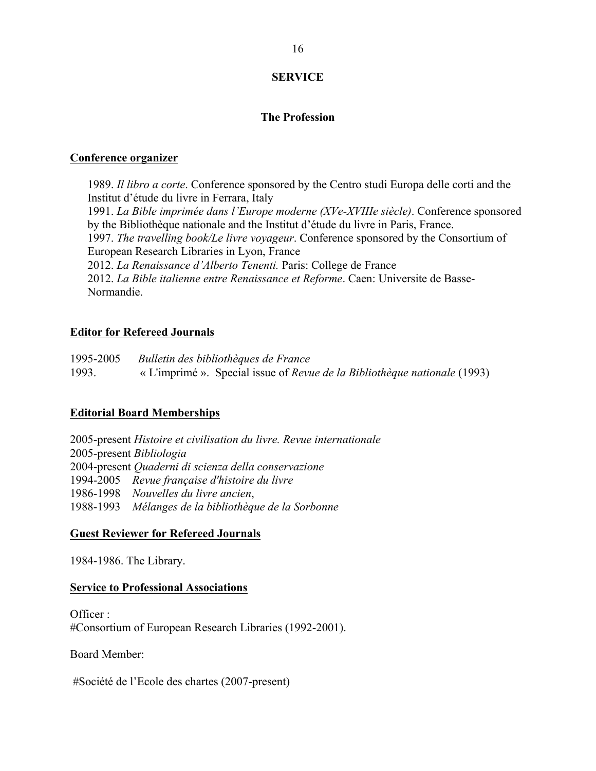## **SERVICE**

### **The Profession**

#### **Conference organizer**

1989. *Il libro a corte*. Conference sponsored by the Centro studi Europa delle corti and the Institut d'étude du livre in Ferrara, Italy 1991. *La Bible imprimée dans l'Europe moderne (XVe-XVIIIe siècle)*. Conference sponsored by the Bibliothèque nationale and the Institut d'étude du livre in Paris, France. 1997. *The travelling book/Le livre voyageur*. Conference sponsored by the Consortium of European Research Libraries in Lyon, France 2012. *La Renaissance d'Alberto Tenenti.* Paris: College de France 2012. *La Bible italienne entre Renaissance et Reforme*. Caen: Universite de Basse-Normandie.

#### **Editor for Refereed Journals**

1995-2005 *Bulletin des bibliothèques de France* 1993. « L'imprimé ». Special issue of *Revue de la Bibliothèque nationale* (1993)

#### **Editorial Board Memberships**

2005-present *Histoire et civilisation du livre. Revue internationale* 2005-present *Bibliologia* 2004-present *Quaderni di scienza della conservazione* 1994-2005 *Revue française d'histoire du livre* 1986-1998 *Nouvelles du livre ancien*, 1988-1993 *Mélanges de la bibliothèque de la Sorbonne*

#### **Guest Reviewer for Refereed Journals**

1984-1986. The Library.

#### **Service to Professional Associations**

Officer : #Consortium of European Research Libraries (1992-2001).

Board Member:

#Société de l'Ecole des chartes (2007-present)